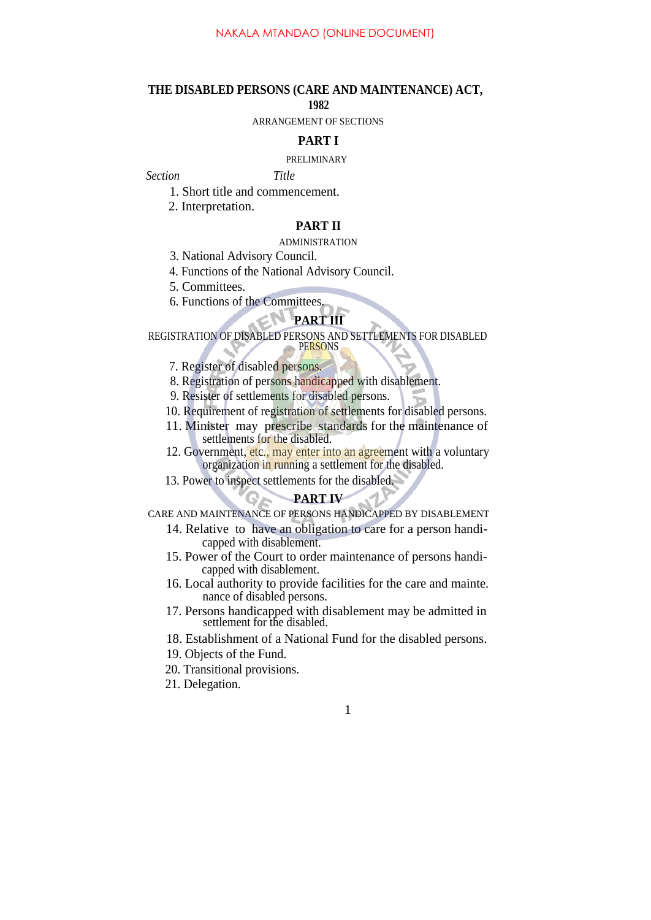#### **THE DISABLED PERSONS (CARE AND MAINTENANCE) ACT,**

#### **1982**

ARRANGEMENT OF SECTIONS

#### **PART I**

#### PRELIMINARY

*Section Title*

- 1. Short title and commencement.
- 2. Interpretation.

## **PART II**

#### ADMINISTRATION

- 3. National Advisory Council.
- 4. Functions of the National Advisory Council.
- 5. Committees.
- 6. Functions of the Committees.

# **PART III**

REGISTRATION OF DISABLED PERSONS AND SETTLEMENTS FOR DISABLED

PERSONS

- 7. Register of disabled persons.
- 8. Registration of persons handicapped with disablement.
- 9. Resister of settlements for disabled persons.
- 10. Requirement of registration of settlements for disabled persons.
- 11. Minister may prescribe standards for the maintenance of settlements for the disabled.
- 12. Government, etc., may enter into an agreement with a voluntary organization in running a settlement for the disabled.
- 13. Power to inspect settlements for the disabled.

## **PART IV**

CARE AND MAINTENANCE OF PERSONS HANDICAPPED BY DISABLEMENT

- 14. Relative to have an obligation to care for a person handicapped with disablement.
- 15. Power of the Court to order maintenance of persons handicapped with disablement.
- 16. Local authority to provide facilities for the care and mainte. nance of disabled persons.
- 17. Persons handicapped with disablement may be admitted in settlement for the disabled.
- 18. Establishment of a National Fund for the disabled persons.
- 19. Objects of the Fund.
- 20. Transitional provisions.
- 21. Delegation.

## 1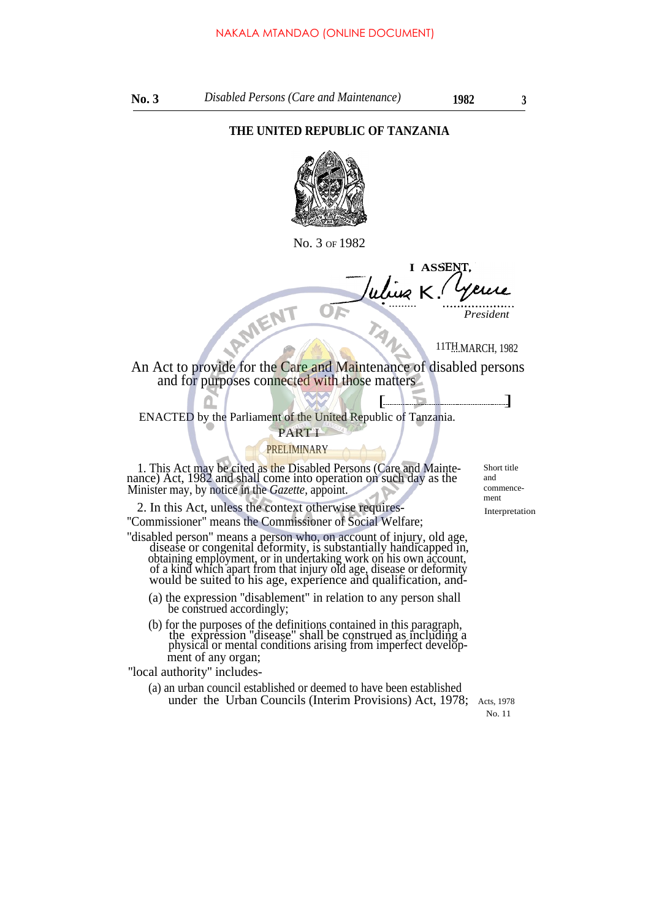## **THE UNITED REPUBLIC OF TANZANIA**



No. 3 OF 1982

**I ASSE** *K.* RMENT • ......... -

*President*

11TH.MARCH, 1982

An Act to provide for the Care and Maintenance of disabled persons and for purposes connected with those matters

[ ENACTED by the Parliament of the United Republic of Tanzania.

#### PART I

PRELIMINARY

1. This Act may be cited as the Disabled Persons (Care and Maintenance) Act, 1982 and shall come into operation on such day as the Minister may, by notice in the *Gazette,* appoint.

2. In this Act, unless the context otherwise requires-<br>Interpretation ''Commissioner" means the Commissioner of Social Welfare;

''disabled person" means a person who, on account of injury, old age, disease or congenital deformity, is substantially handicapped in, obtaining employment, or in undertaking work on his own account, of a kind which apart from that injury old age, disease or deformity would be suited to his age, experience and qualification, and-

- (a) the expression ''disablement" in relation to any person shall be construed accordingly;
- (b) for the purposes of the definitions contained in this paragraph, the expression ''disease" shall be construed as including a physical or mental conditions arising from imperfect development of any organ;

''local authority'' includes-

(a) an urban council established or deemed to have been established under the Urban Councils (Interim Provisions) Act, 1978; Acts, 1978

Short title and commencement

 $\Box$ 

No. 11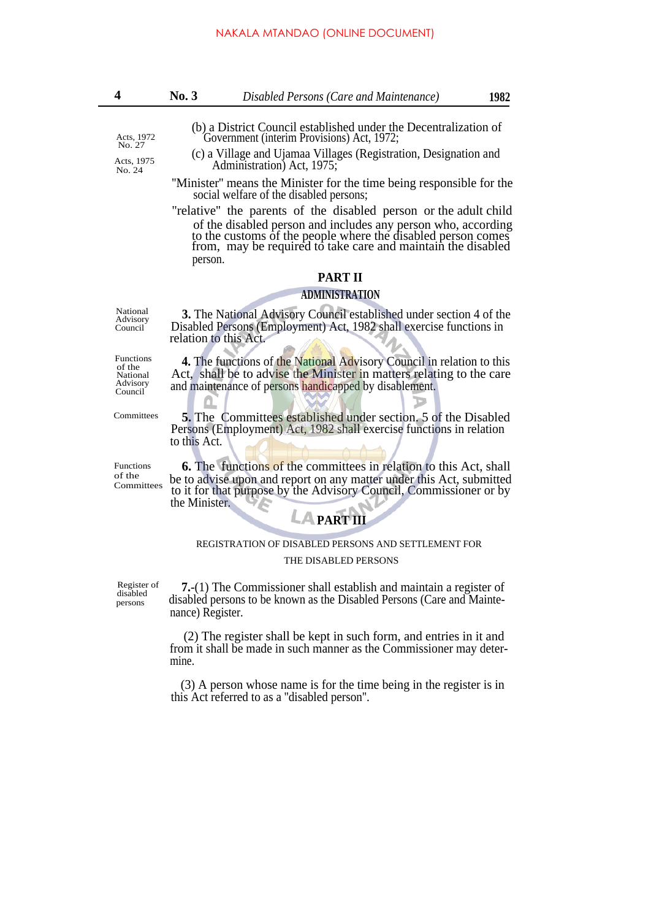- (b) a District Council established under the Decentralization of Acts, 1972 Government (interim Provisions) Act, 1972;
- (c) a Village and Ujamaa Villages (Registration, Designation and Acts, 1975<br>Administration) Act, 1975;<br>Administration) Act, 1975;
	- ''Minister'' means the Minister for the time being responsible for the social welfare of the disabled persons;
	- "relative'' the parents of the disabled person or the adult child of the disabled person and includes any person who, according to the customs of the people where the disabled person comes from, may be required to take care and maintain the disabled person.

## **PART II**

#### **ADMINISTRATION**

Disabled Persons (Employment) Act, 1982 shall exercise functions in

National **3.** The National Advisory Council established under section 4 of the Advisory Council

relation to this Act.

of the National Advisory Council

**Committees** 

Functions **4.** The functions of the National Advisory Council in relation to this Act, shall be to advise the Minister in matters relating to the care and maintenance of persons handicapped by disablement.

> **5.** The Committees established under section. 5 of the Disabled Persons (Employment) Act, 1982 shall exercise functions in relation to this Act.

of the

Functions **6.** The functions of the committees in relation to this Act, shall be to advise upon and report on any matter under this Act, submitted to it for that purpose by the Advisory Council, Commissioner or by the Minister.

## REGISTRATION OF DISABLED PERSONS AND SETTLEMENT FOR THE DISABLED PERSONS

**PART III**

Register of disabled persons

**7.**-(1) The Commissioner shall establish and maintain a register of disabled persons to be known as the Disabled Persons (Care and Maintenance) Register.

(2) The register shall be kept in such form, and entries in it and from it shall be made in such manner as the Commissioner may determine.

(3) A person whose name is for the time being in the register is in this Act referred to as a ''disabled person''.

No. 27

No. 24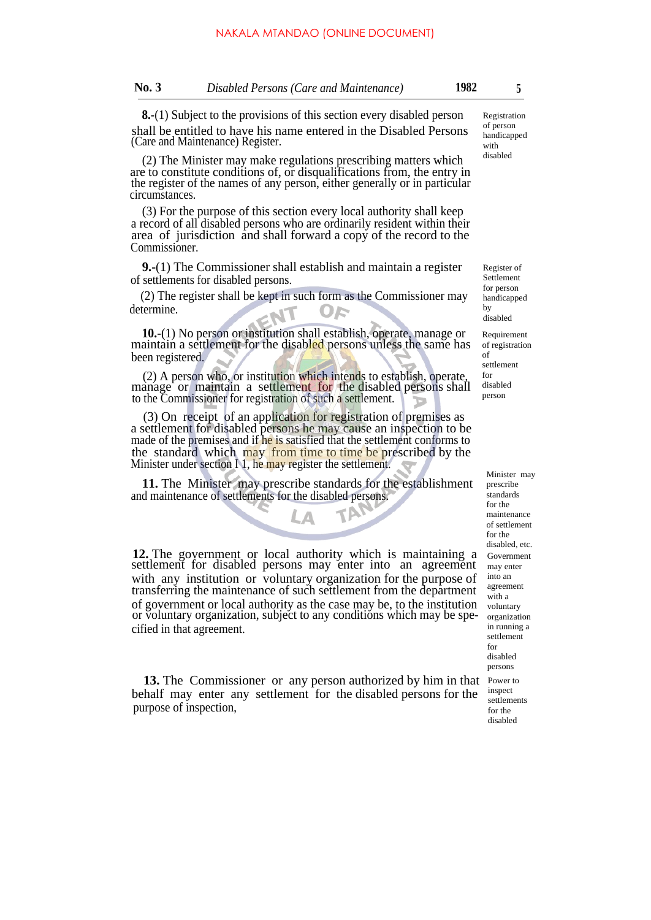**8.**-(1) Subject to the provisions of this section every disabled person shall be entitled to have his name entered in the Disabled Persons (Care and Maintenance) Register.

(2) The Minister may make regulations prescribing matters which are to constitute conditions of, or disqualifications from, the entry in the register of the names of any person, either generally or in particular circumstances.

(3) For the purpose of this section every local authority shall keep a record of all disabled persons who are ordinarily resident within their area of jurisdiction and shall forward a copy of the record to the Commissioner.

**9.**-(1) The Commissioner shall establish and maintain a register of settlements for disabled persons.

(2) The register shall be kept in such form as the Commissioner may determine.

**10.**-(1) No person or institution shall establish, operate, manage or maintain a settlement for the disabled persons unless the same has been registered.

(2) A person who, or institution which intends to establish, operate, manage or maintain a settlement for the disabled persons shall to the Commissioner for registration of such a settlement.

(3) On receipt of an application for registration of premises as a settlement for disabled persons he may cause an inspection to be made of the premises and if he is satisfied that the settlement conforms to the standard which may from time to time be prescribed by the Minister under section I 1, he may register the settlement.

**11.** The Minister may prescribe standards for the establishment and maintenance of settlements for the disabled persons.

**12.** The government or local authority which is maintaining a settlement for disabled persons may enter into an agreement with any institution or voluntary organization for the purpose of transferring the maintenance of such settlement from the department of government or local authority as the case may be, to the institution or voluntary organization, subject to any conditions which may be specified in that agreement.

**13.** The Commissioner or any person authorized by him in that behalf may enter any settlement for the disabled persons for the purpose of inspection,

Registration of person handicapped with disabled

Register of Settlement for person handicapped by disabled

Requirement of registration of settlement for disabled person

> Minister may prescribe standards for the maintenance of settlement for the disabled, etc. Government may enter into an agreement with a voluntary organization in running a settlement for disabled persons Power to inspect settlements for the disabled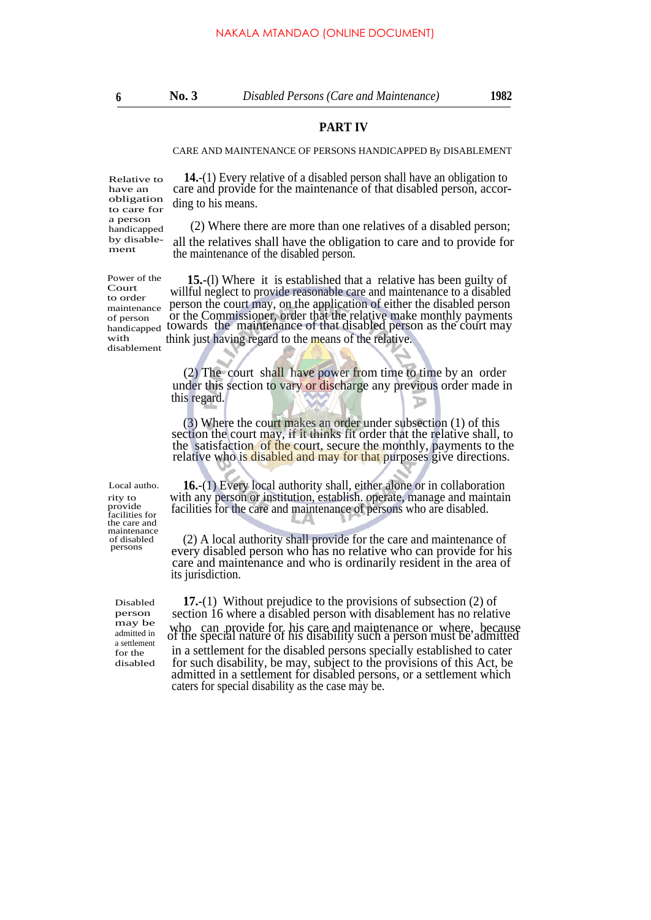## **PART IV**

#### CARE AND MAINTENANCE OF PERSONS HANDICAPPED By DISABLEMENT

Relative to have an obligation to care for a person handicapped by disablement

Power of the Court to order maintenance of person handicapped with disablement

Local autho. rity to provide facilities for the care and maintenance of disabled persons

> Disabled person may be admitted in a settlement for the disabled

**14.**-(1) Every relative of a disabled person shall have an obligation to care and provide for the maintenance of that disabled person, according to his means.

(2) Where there are more than one relatives of a disabled person;

all the relatives shall have the obligation to care and to provide for the maintenance of the disabled person.

**15.**-(l) Where it is established that a relative has been guilty of willful neglect to provide reasonable care and maintenance to a disabled person the court may, on the application of either the disabled person or the Commissioner, order that the relative make monthly payments towards the maintenance of that disabled person as the court may think just having regard to the means of the relative.

(2) The court shall have power from time to time by an order under this section to vary or discharge any previous order made in this regard.

(3) Where the court makes an order under subsection (1) of this section the court may, if it thinks fit order that the relative shall, to the satisfaction of the court, secure the monthly, payments to the relative who is disabled and may for that purposes give directions.

**16.**-(1) Every local authority shall, either alone or in collaboration with any person or institution, establish. operate, manage and maintain facilities for the care and maintenance of persons who are disabled.

(2) A local authority shall provide for the care and maintenance of every disabled person who has no relative who can provide for his care and maintenance and who is ordinarily resident in the area of its jurisdiction.

**17.**-(1) Without prejudice to the provisions of subsection (2) of section 16 where a disabled person with disablement has no relative who can provide for his care and maintenance or where, because of the special nature of his disability such a person must be admitted in a settlement for the disabled persons specially established to cater for such disability, be may, subject to the provisions of this Act, be admitted in a settlement for disabled persons, or a settlement which caters for special disability as the case may be.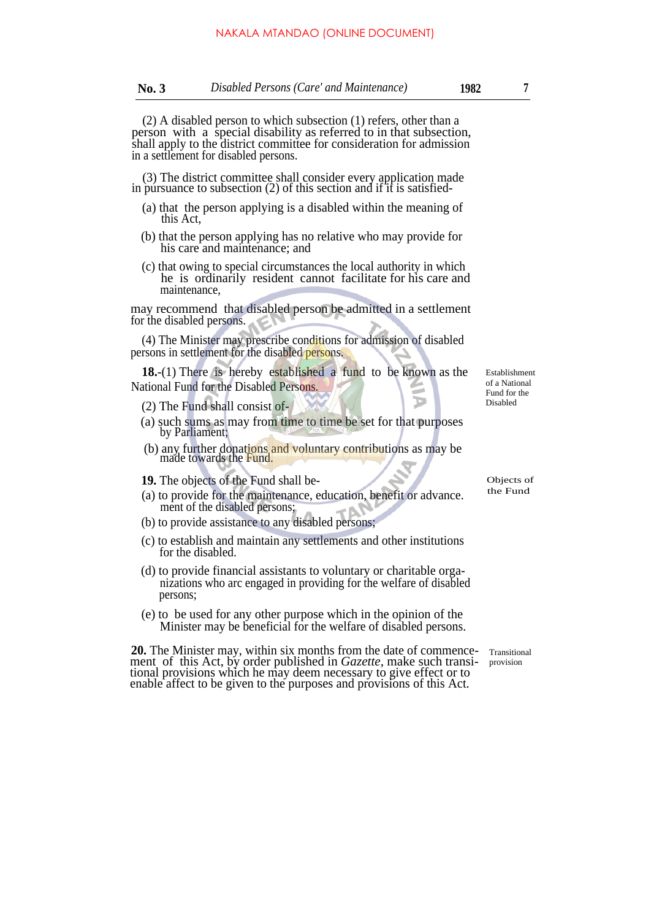(2) A disabled person to which subsection (1) refers, other than a person with a special disability as referred to in that subsection, shall apply to the district committee for consideration for admission in a settlement for disabled persons.

(3) The district committee shall consider every application made in pursuance to subsection (2) of this section and if it is satisfied-

- (a) that the person applying is a disabled within the meaning of this Act,
- (b) that the person applying has no relative who may provide for his care and maintenance; and
- (c) that owing to special circumstances the local authority in which he is ordinarily resident cannot facilitate for his care and maintenance,

may recommend that disabled person be admitted in a settlement for the disabled persons.

(4) The Minister may prescribe conditions for admission of disabled persons in settlement for the disabled persons.

**18.**-(1) There is hereby established a fund to be known as the National Fund for the Disabled Persons.

- (2) The Fund shall consist of-
- (a) such sums as may from time to time be set for that purposes by Parliament;
- (b) any further donations and voluntary contributions as may be made towards the Fund.

**19.** The objects of the Fund shall be-<br>(a) to provide for the maintanance education, housting advance the Fund

- (a) to provide for the maintenance, education, benefit or advance. ment of the disabled persons;
- (b) to provide assistance to any disabled persons;
- (c) to establish and maintain any settlements and other institutions for the disabled.
- (d) to provide financial assistants to voluntary or charitable organizations who arc engaged in providing for the welfare of disabled persons;
- (e) to be used for any other purpose which in the opinion of the Minister may be beneficial for the welfare of disabled persons.

**20.** The Minister may, within six months from the date of commence- Transitional ment of this Act, by order published in *Gazette,* make such transitional provisions which he may deem necessary to give effect or to enable affect to be given to the purposes and provisions of this Act.

Establishment of a National Fund for the Disabled

Þ

provision